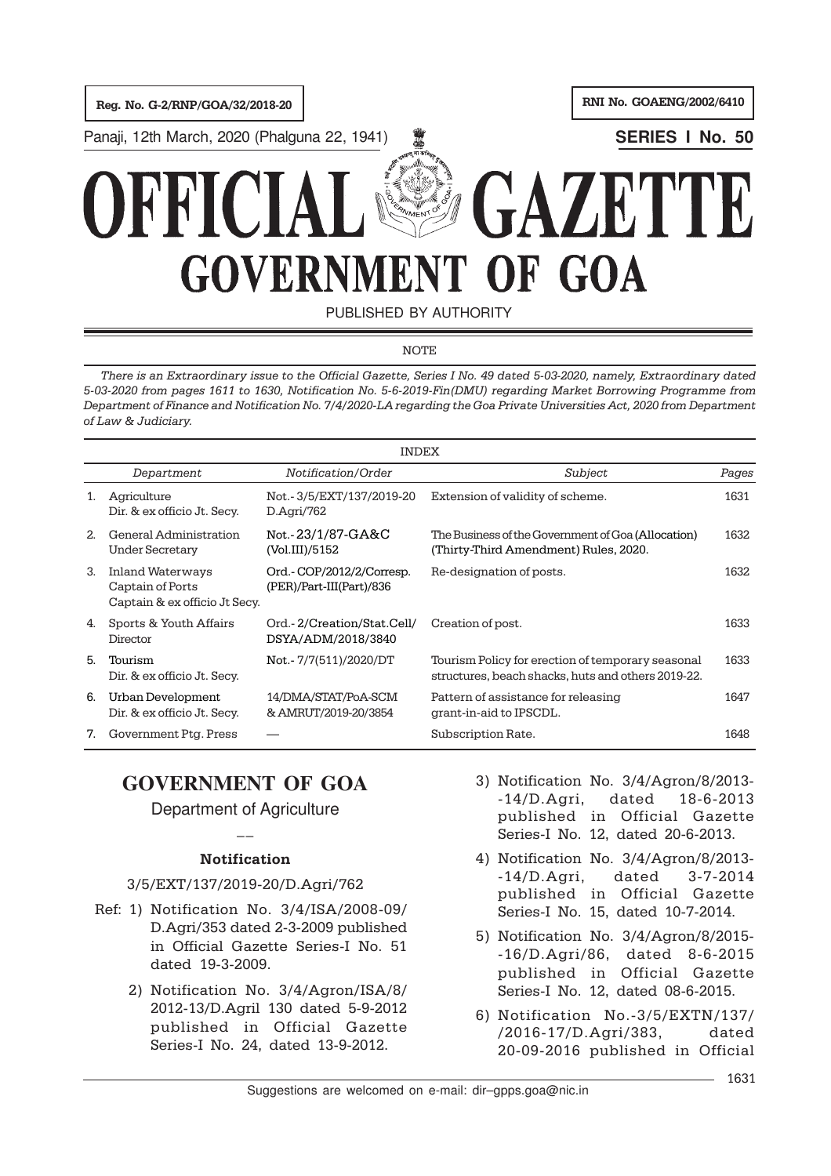Reg. No. G-2/RNP/GOA/32/2018-20 RNI No. GOAENG/2002/6410

Panaji, 12th March, 2020 (Phalguna 22, 1941) **W SERIES I No. 50** 

# $FAZE$ OF GOA **GOVERNMENT**

PUBLISHED BY AUTHORITY

# **NOTE**

There is an Extraordinary issue to the Official Gazette, Series I No. 49 dated 5-03-2020, namely, Extraordinary dated 5-03-2020 from pages 1611 to 1630, Notification No. 5-6-2019-Fin(DMU) regarding Market Borrowing Programme from Department of Finance and Notification No. 7/4/2020-LA regarding the Goa Private Universities Act, 2020 from Department of Law & Judiciary.

|                | INDEX                                                                        |                                                      |                                                                                                         |       |  |  |
|----------------|------------------------------------------------------------------------------|------------------------------------------------------|---------------------------------------------------------------------------------------------------------|-------|--|--|
|                | Department                                                                   | Notification/Order                                   | Subject                                                                                                 | Pages |  |  |
| 1.             | Agriculture<br>Dir. & ex officio Jt. Secy.                                   | Not.-3/5/EXT/137/2019-20<br>D.Agri/762               | Extension of validity of scheme.                                                                        | 1631  |  |  |
| 2 <sub>1</sub> | General Administration<br>Under Secretary                                    | Not.-23/1/87-GA&C<br>(Vol.III)/5152                  | The Business of the Government of Goa (Allocation)<br>(Thirty-Third Amendment) Rules, 2020.             | 1632  |  |  |
| 3.             | <b>Inland Waterways</b><br>Captain of Ports<br>Captain & ex officio Jt Secy. | Ord.-COP/2012/2/Corresp.<br>(PER)/Part-III(Part)/836 | Re-designation of posts.                                                                                | 1632  |  |  |
| 4.             | Sports & Youth Affairs<br>Director                                           | Ord.-2/Creation/Stat.Cell/<br>DSYA/ADM/2018/3840     | Creation of post.                                                                                       | 1633  |  |  |
| 5.             | Tourism<br>Dir. & ex officio Jt. Secy.                                       | Not.-7/7(511)/2020/DT                                | Tourism Policy for erection of temporary seasonal<br>structures, beach shacks, huts and others 2019-22. | 1633  |  |  |
| 6.             | Urban Development<br>Dir. & ex officio Jt. Secy.                             | 14/DMA/STAT/PoA-SCM<br>& AMRUT/2019-20/3854          | Pattern of assistance for releasing<br>grant-in-aid to IPSCDL.                                          | 1647  |  |  |
| 7.             | Government Ptg. Press                                                        |                                                      | Subscription Rate.                                                                                      | 1648  |  |  |

# **GOVERNMENT OF GOA**

# Department of Agriculture  $\overline{a}$

# **Notification**

# 3/5/EXT/137/2019-20/D.Agri/762

- Ref: 1) Notification No. 3/4/ISA/2008-09/ D.Agri/353 dated 2-3-2009 published in Official Gazette Series-I No. 51 dated 19-3-2009.
	- 2) Notification No. 3/4/Agron/ISA/8/ 2012-13/D.Agril 130 dated 5-9-2012 published in Official Gazette Series-I No. 24, dated 13-9-2012.
- 3) Notification No. 3/4/Agron/8/2013- -14/D.Agri, dated 18-6-2013 published in Official Gazette Series-I No. 12, dated 20-6-2013.
- 4) Notification No. 3/4/Agron/8/2013- -14/D.Agri, dated 3-7-2014 published in Official Gazette Series-I No. 15, dated 10-7-2014.
- 5) Notification No. 3/4/Agron/8/2015- -16/D.Agri/86, dated 8-6-2015 published in Official Gazette Series-I No. 12, dated 08-6-2015.
- 6) Notification No.-3/5/EXTN/137/ /2016-17/D.Agri/383, dated 20-09-2016 published in Official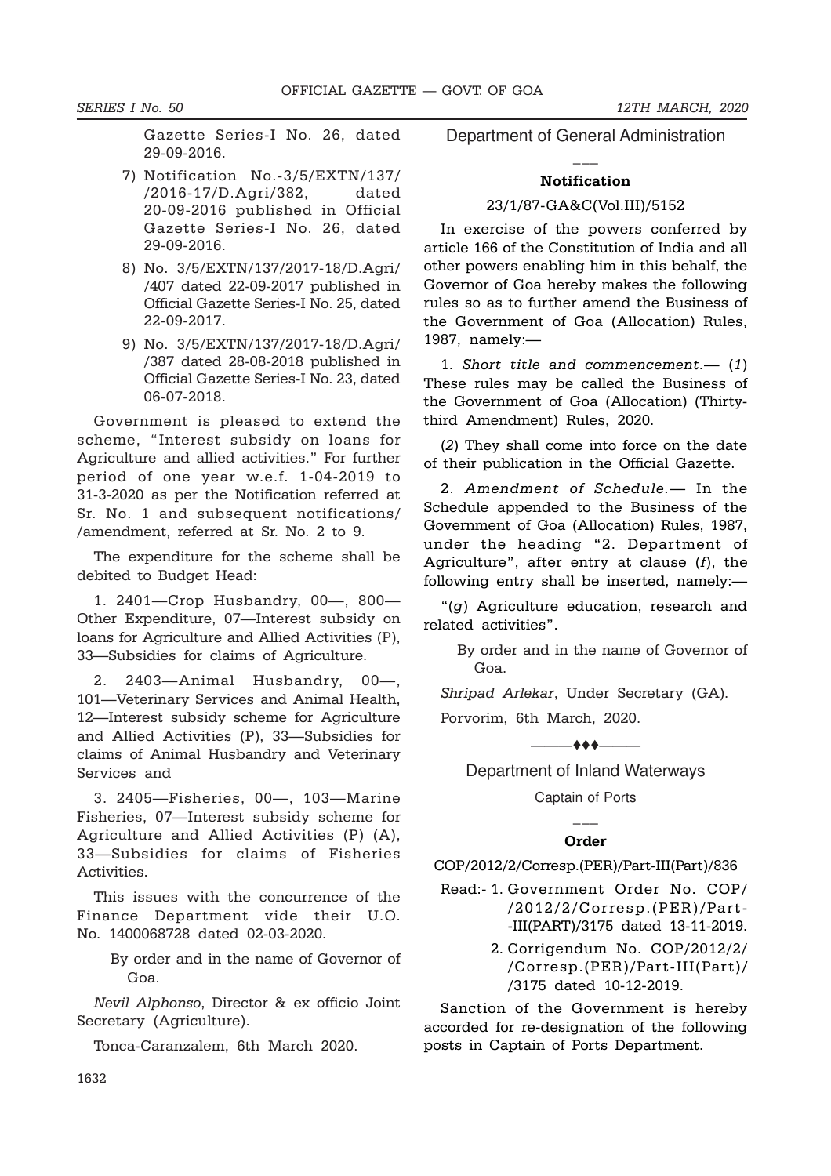SERIES I No. 50 12TH MARCH, 2020

Gazette Series-I No. 26, dated 29-09-2016.

- 7) Notification No.-3/5/EXTN/137/ /2016-17/D.Agri/382, dated 20-09-2016 published in Official Gazette Series-I No. 26, dated 29-09-2016.
- 8) No. 3/5/EXTN/137/2017-18/D.Agri/ /407 dated 22-09-2017 published in Official Gazette Series-I No. 25, dated 22-09-2017.
- 9) No. 3/5/EXTN/137/2017-18/D.Agri/ /387 dated 28-08-2018 published in Official Gazette Series-I No. 23, dated 06-07-2018.

Government is pleased to extend the scheme, "Interest subsidy on loans for Agriculture and allied activities." For further period of one year w.e.f. 1-04-2019 to 31-3-2020 as per the Notification referred at Sr. No. 1 and subsequent notifications/ /amendment, referred at Sr. No. 2 to 9.

The expenditure for the scheme shall be debited to Budget Head:

1. 2401—Crop Husbandry, 00—, 800— Other Expenditure, 07—Interest subsidy on loans for Agriculture and Allied Activities (P), 33—Subsidies for claims of Agriculture.

2. 2403—Animal Husbandry, 00—, 101—Veterinary Services and Animal Health, 12—Interest subsidy scheme for Agriculture and Allied Activities (P), 33—Subsidies for claims of Animal Husbandry and Veterinary Services and

3. 2405—Fisheries, 00—, 103—Marine Fisheries, 07—Interest subsidy scheme for Agriculture and Allied Activities (P) (A), 33—Subsidies for claims of Fisheries **Activities** 

This issues with the concurrence of the Finance Department vide their U.O. No. 1400068728 dated 02-03-2020.

> By order and in the name of Governor of Goa.

Nevil Alphonso, Director & ex officio Joint Secretary (Agriculture).

Tonca-Caranzalem, 6th March 2020.

Department of General Administration  $\overline{a}$ 

### Notification

### 23/1/87-GA&C(Vol.III)/5152

In exercise of the powers conferred by article 166 of the Constitution of India and all other powers enabling him in this behalf, the Governor of Goa hereby makes the following rules so as to further amend the Business of the Government of Goa (Allocation) Rules, 1987, namely:—

1. Short title and commencement.— (1) These rules may be called the Business of the Government of Goa (Allocation) (Thirtythird Amendment) Rules, 2020.

(2) They shall come into force on the date of their publication in the Official Gazette.

2. Amendment of Schedule.— In the Schedule appended to the Business of the Government of Goa (Allocation) Rules, 1987, under the heading "2. Department of Agriculture", after entry at clause  $(f)$ , the following entry shall be inserted, namely:—

"(g) Agriculture education, research and related activities".

> By order and in the name of Governor of Goa.

Shripad Arlekar, Under Secretary (GA).

Porvorim, 6th March, 2020.

 $-$ 

Department of Inland Waterways Captain of Ports

# $\overline{a}$ Order

COP/2012/2/Corresp.(PER)/Part-III(Part)/836

- Read:- 1. Government Order No. COP/ /2012/2/Corresp.(PER)/Part- -III(PART)/3175 dated 13-11-2019.
	- 2. Corrigendum No. COP/2012/2/ /Corresp.(PER)/Part-III(Part)/ /3175 dated 10-12-2019.

Sanction of the Government is hereby accorded for re-designation of the following posts in Captain of Ports Department.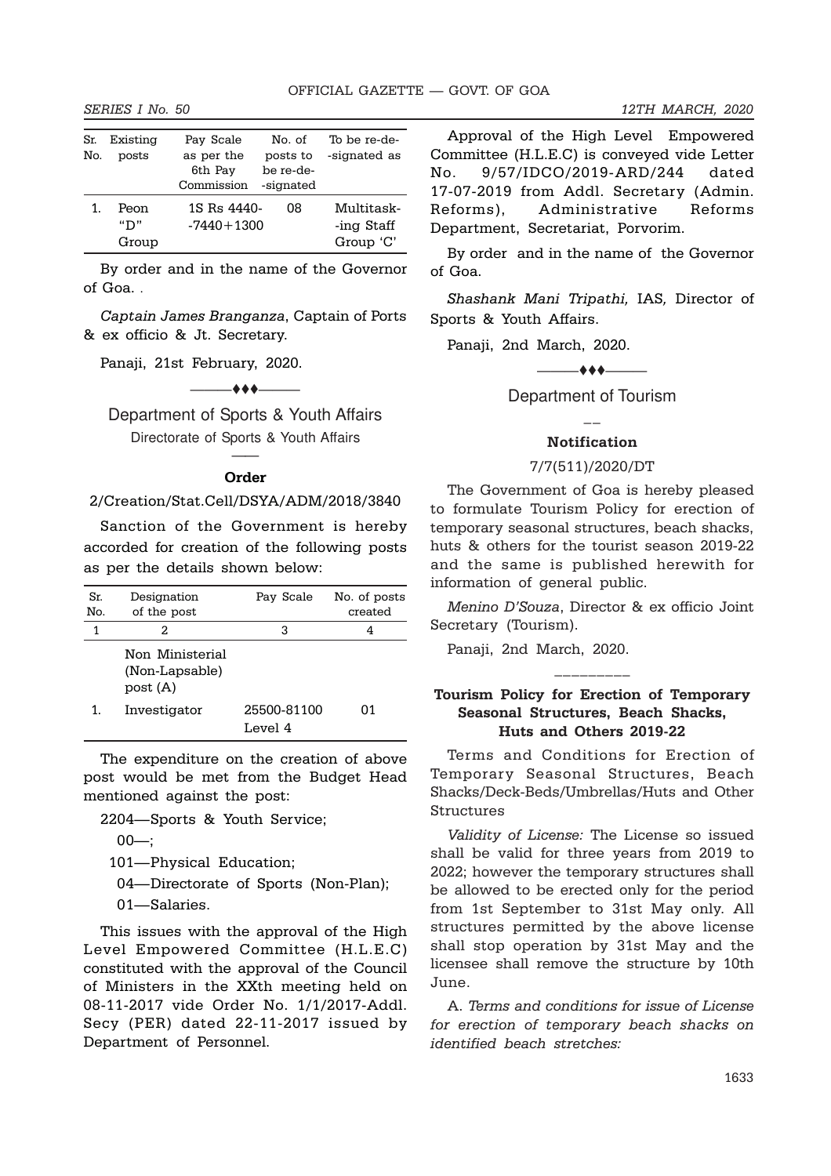| Sr.<br>No. | Existing<br>posts    | Pay Scale<br>as per the<br>6th Pay<br>Commission | No. of<br>posts to<br>be re-de-<br>-signated | To be re-de-<br>-signated as          |
|------------|----------------------|--------------------------------------------------|----------------------------------------------|---------------------------------------|
|            | Peon<br>"D"<br>Group | 1S Rs 4440-<br>$-7440 + 1300$                    | 08                                           | Multitask-<br>-ing Staff<br>Group 'C' |

By order and in the name of the Governor of Goa. .

Captain James Branganza, Captain of Ports & ex officio & Jt. Secretary.

Panaji, 21st February, 2020.

# $\overline{\phantom{a}}$

Department of Sports & Youth Affairs Directorate of Sports & Youth Affairs

# —— Order

### 2/Creation/Stat.Cell/DSYA/ADM/2018/3840

Sanction of the Government is hereby accorded for creation of the following posts as per the details shown below:

| Sr.<br>No. | Designation<br>of the post                    | Pay Scale              | No. of posts<br>created |
|------------|-----------------------------------------------|------------------------|-------------------------|
| 1          | 2.                                            | з                      | 4                       |
|            | Non Ministerial<br>(Non-Lapsable)<br>post (A) |                        |                         |
| 1.         | Investigator                                  | 25500-81100<br>Level 4 | 01                      |

The expenditure on the creation of above post would be met from the Budget Head mentioned against the post:

2204—Sports & Youth Service;

 $00$ ;

101—Physical Education;

04—Directorate of Sports (Non-Plan);

01—Salaries.

This issues with the approval of the High Level Empowered Committee (H.L.E.C) constituted with the approval of the Council of Ministers in the XXth meeting held on 08-11-2017 vide Order No. 1/1/2017-Addl. Secy (PER) dated 22-11-2017 issued by Department of Personnel.

Approval of the High Level Empowered Committee (H.L.E.C) is conveyed vide Letter No. 9/57/IDCO/2019-ARD/244 dated 17-07-2019 from Addl. Secretary (Admin. Reforms), Administrative Reforms Department, Secretariat, Porvorim.

By order and in the name of the Governor of Goa.

Shashank Mani Tripathi, IAS, Director of Sports & Youth Affairs.

Panaji, 2nd March, 2020.

—+++——

Department of Tourism  $\overline{\phantom{a}}$ 

### Notification

# 7/7(511)/2020/DT

The Government of Goa is hereby pleased to formulate Tourism Policy for erection of temporary seasonal structures, beach shacks, huts & others for the tourist season 2019-22 and the same is published herewith for information of general public.

Menino D'Souza, Director & ex officio Joint Secretary (Tourism).

Panaji, 2nd March, 2020.

# Tourism Policy for Erection of Temporary Seasonal Structures, Beach Shacks, Huts and Others 2019-22

\_\_\_\_\_\_\_\_\_

Terms and Conditions for Erection of Temporary Seasonal Structures, Beach Shacks/Deck-Beds/Umbrellas/Huts and Other Structures

Validity of License: The License so issued shall be valid for three years from 2019 to 2022; however the temporary structures shall be allowed to be erected only for the period from 1st September to 31st May only. All structures permitted by the above license shall stop operation by 31st May and the licensee shall remove the structure by 10th June.

A. Terms and conditions for issue of License for erection of temporary beach shacks on identified beach stretches: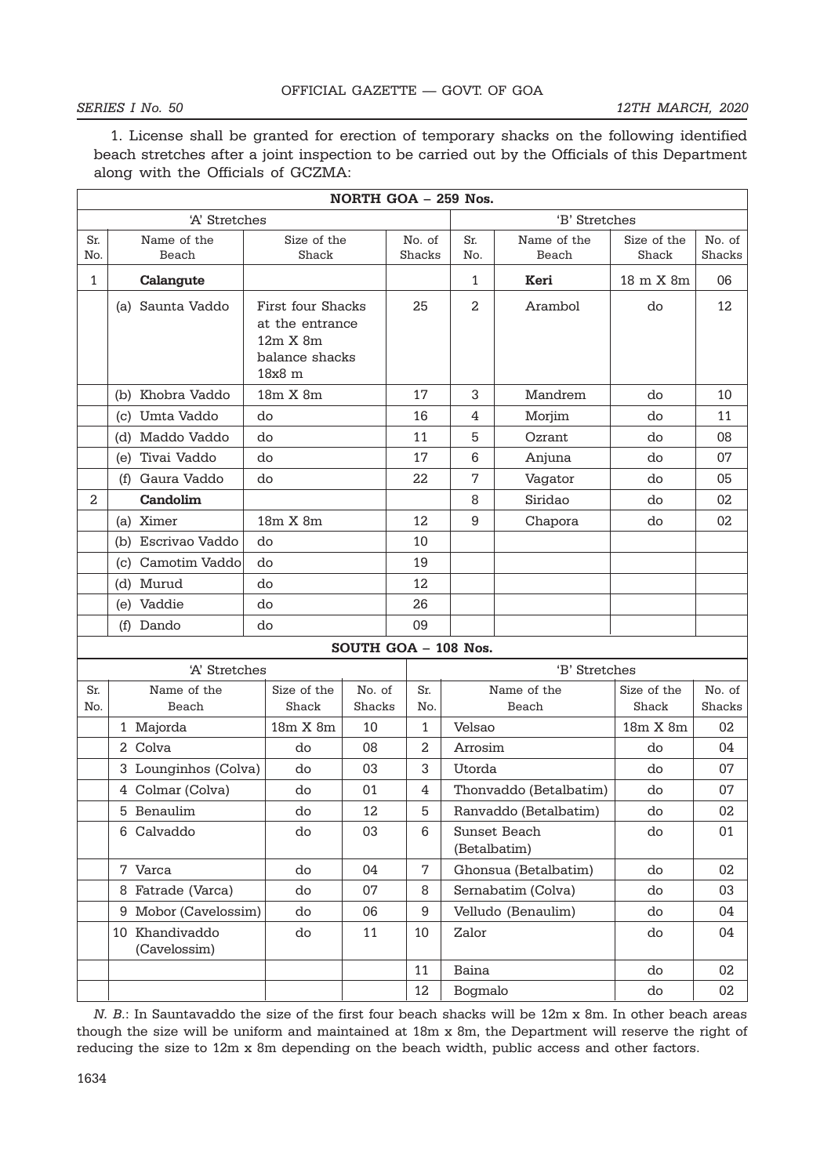# SERIES I No. 50 12TH MARCH, 2020

1. License shall be granted for erection of temporary shacks on the following identified beach stretches after a joint inspection to be carried out by the Officials of this Department along with the Officials of GCZMA:

|            |                                |                                                                              |                  | NORTH GOA - 259 Nos. |                              |                      |                      |                  |
|------------|--------------------------------|------------------------------------------------------------------------------|------------------|----------------------|------------------------------|----------------------|----------------------|------------------|
|            | 'B' Stretches<br>'A' Stretches |                                                                              |                  |                      |                              |                      |                      |                  |
| Sr.<br>No. | Name of the<br>Beach           | Size of the<br>Shack                                                         |                  | No. of<br>Shacks     | Sr.<br>No.                   | Name of the<br>Beach | Size of the<br>Shack | No. of<br>Shacks |
| 1          | Calangute                      |                                                                              |                  |                      | 1                            | Keri                 | 18 m X 8m            | 06               |
|            | (a) Saunta Vaddo               | First four Shacks<br>at the entrance<br>12m X 8m<br>balance shacks<br>18x8 m |                  | 25                   | 2                            | Arambol              | do                   | 12               |
|            | (b) Khobra Vaddo               | 18m X 8m                                                                     |                  | 17                   | 3                            | Mandrem              | do                   | 10               |
|            | (c) Umta Vaddo                 | do                                                                           |                  | 16                   | 4                            | Morjim               | do                   | 11               |
|            | (d) Maddo Vaddo                | do                                                                           |                  | 11                   | 5                            | Ozrant               | do                   | 08               |
|            | (e) Tivai Vaddo                | do                                                                           |                  | 17                   | 6                            | Anjuna               | do                   | 07               |
|            | (f) Gaura Vaddo                | do                                                                           |                  | 22                   | 7                            | Vagator              | do                   | 05               |
| 2          | Candolim                       |                                                                              |                  |                      | 8                            | Siridao              | do                   | 02               |
|            | (a) Ximer                      | 18m X 8m                                                                     |                  | 12                   | 9                            | Chapora              | do                   | 02               |
|            | (b) Escrivao Vaddo             | do                                                                           |                  | 10                   |                              |                      |                      |                  |
|            | (c) Camotim Vaddo              | do                                                                           |                  | 19                   |                              |                      |                      |                  |
|            | (d) Murud                      | do                                                                           |                  | 12                   |                              |                      |                      |                  |
|            | (e) Vaddie                     | do                                                                           |                  | 26                   |                              |                      |                      |                  |
|            | (f) Dando                      | do                                                                           |                  | 09                   |                              |                      |                      |                  |
|            |                                |                                                                              |                  | SOUTH GOA - 108 Nos. |                              |                      |                      |                  |
|            | 'A' Stretches                  |                                                                              |                  |                      | 'B' Stretches                |                      |                      |                  |
| Sr.<br>No. | Name of the<br>Beach           | Size of the<br>Shack                                                         | No. of<br>Shacks | Sr.<br>No.           |                              | Name of the<br>Beach | Size of the<br>Shack | No. of<br>Shacks |
|            | 1 Majorda                      | 18m X 8m                                                                     | 10               | 1                    | Velsao                       |                      | 18m X 8m             | 02               |
|            | 2 Colva                        | do                                                                           | 08               | 2                    | Arrosim                      |                      | do                   | 04               |
|            | 3 Lounginhos (Colva)           | do                                                                           | 03               | 3                    | <b>Utorda</b>                |                      | do                   | 07               |
|            | 4 Colmar (Colva)               | do                                                                           | 01               | 4                    | Thonvaddo (Betalbatim)       |                      | do                   | 07               |
|            | 5 Benaulim                     | do                                                                           | 12               | 5                    | Ranvaddo (Betalbatim)        |                      | do                   | 02               |
|            | 6 Calvaddo                     | do                                                                           | 03               | 6                    | Sunset Beach<br>(Betalbatim) |                      | do                   | 01               |
|            | 7 Varca                        | do                                                                           | 04               | 7                    | Ghonsua (Betalbatim)         |                      | do                   | 02               |
|            | 8 Fatrade (Varca)              | do                                                                           | 07               | 8                    | Sernabatim (Colva)           |                      | do                   | 03               |
|            | 9 Mobor (Cavelossim)           | do                                                                           | 06               | 9                    | Velludo (Benaulim)           |                      | do                   | 04               |
|            | 10 Khandivaddo<br>(Cavelossim) | do                                                                           | 11               | 10                   | Zalor                        |                      | do                   | 04               |
|            |                                |                                                                              |                  | 11                   | Baina                        |                      | do                   | 02               |
|            |                                |                                                                              |                  | 12                   | Bogmalo                      |                      | do                   | 02               |

N. B.: In Sauntavaddo the size of the first four beach shacks will be 12m x 8m. In other beach areas though the size will be uniform and maintained at 18m x 8m, the Department will reserve the right of reducing the size to 12m x 8m depending on the beach width, public access and other factors.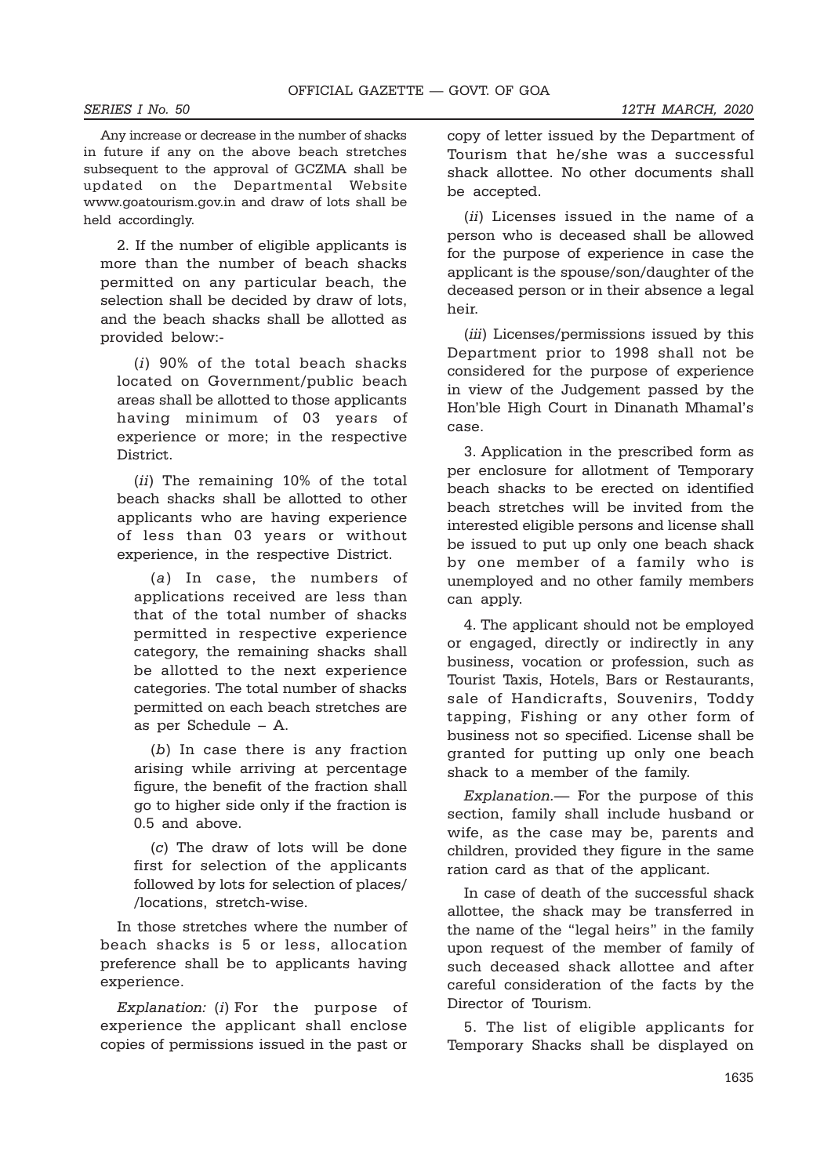Any increase or decrease in the number of shacks in future if any on the above beach stretches subsequent to the approval of GCZMA shall be updated on the Departmental Website www.goatourism.gov.in and draw of lots shall be held accordingly.

2. If the number of eligible applicants is more than the number of beach shacks permitted on any particular beach, the selection shall be decided by draw of lots, and the beach shacks shall be allotted as provided below:-

(i) 90% of the total beach shacks located on Government/public beach areas shall be allotted to those applicants having minimum of 03 years of experience or more; in the respective District.

(ii) The remaining 10% of the total beach shacks shall be allotted to other applicants who are having experience of less than 03 years or without experience, in the respective District.

(a) In case, the numbers of applications received are less than that of the total number of shacks permitted in respective experience category, the remaining shacks shall be allotted to the next experience categories. The total number of shacks permitted on each beach stretches are as per Schedule – A.

(b) In case there is any fraction arising while arriving at percentage figure, the benefit of the fraction shall go to higher side only if the fraction is 0.5 and above.

(c) The draw of lots will be done first for selection of the applicants followed by lots for selection of places/ /locations, stretch-wise.

In those stretches where the number of beach shacks is 5 or less, allocation preference shall be to applicants having experience.

Explanation: (i) For the purpose of experience the applicant shall enclose copies of permissions issued in the past or

copy of letter issued by the Department of Tourism that he/she was a successful shack allottee. No other documents shall be accepted.

(ii) Licenses issued in the name of a person who is deceased shall be allowed for the purpose of experience in case the applicant is the spouse/son/daughter of the deceased person or in their absence a legal heir.

(*iii*) Licenses/permissions issued by this Department prior to 1998 shall not be considered for the purpose of experience in view of the Judgement passed by the Hon'ble High Court in Dinanath Mhamal's case.

3. Application in the prescribed form as per enclosure for allotment of Temporary beach shacks to be erected on identified beach stretches will be invited from the interested eligible persons and license shall be issued to put up only one beach shack by one member of a family who is unemployed and no other family members can apply.

4. The applicant should not be employed or engaged, directly or indirectly in any business, vocation or profession, such as Tourist Taxis, Hotels, Bars or Restaurants, sale of Handicrafts, Souvenirs, Toddy tapping, Fishing or any other form of business not so specified. License shall be granted for putting up only one beach shack to a member of the family.

Explanation.— For the purpose of this section, family shall include husband or wife, as the case may be, parents and children, provided they figure in the same ration card as that of the applicant.

In case of death of the successful shack allottee, the shack may be transferred in the name of the "legal heirs" in the family upon request of the member of family of such deceased shack allottee and after careful consideration of the facts by the Director of Tourism.

5. The list of eligible applicants for Temporary Shacks shall be displayed on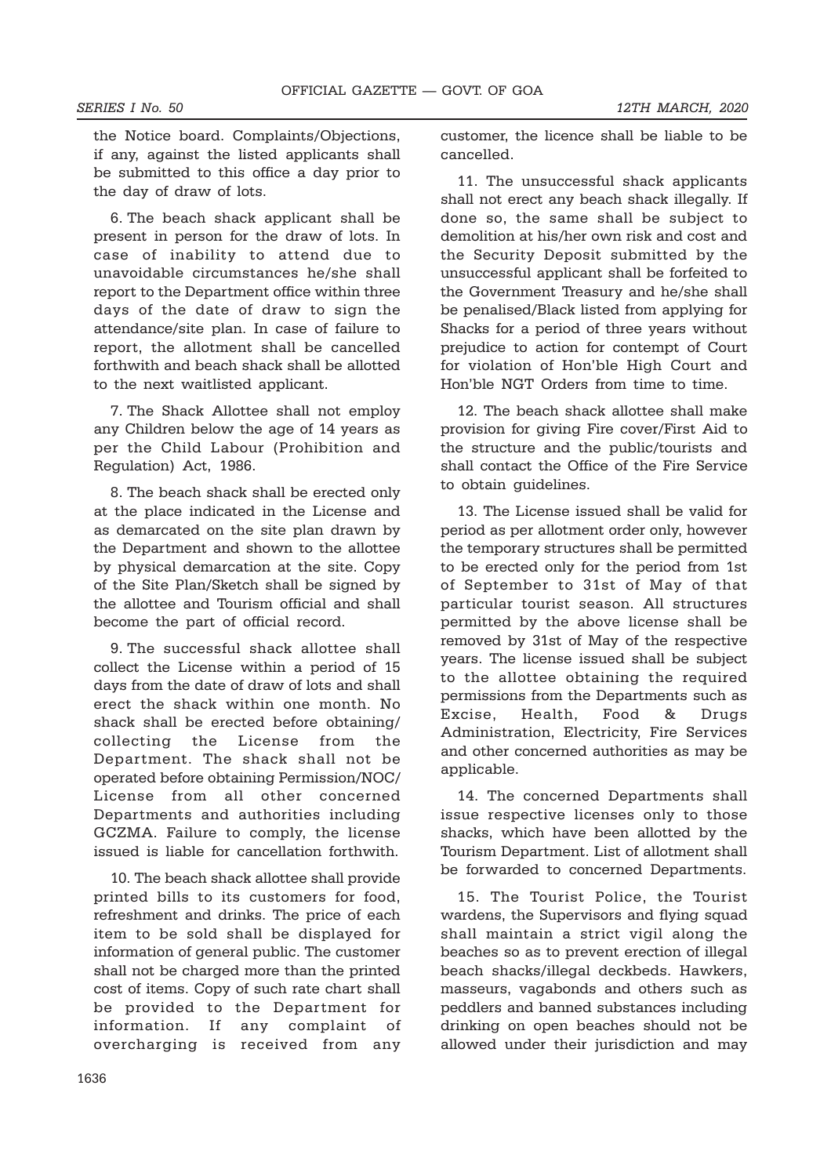the Notice board. Complaints/Objections, if any, against the listed applicants shall be submitted to this office a day prior to the day of draw of lots.

6. The beach shack applicant shall be present in person for the draw of lots. In case of inability to attend due to unavoidable circumstances he/she shall report to the Department office within three days of the date of draw to sign the attendance/site plan. In case of failure to report, the allotment shall be cancelled forthwith and beach shack shall be allotted to the next waitlisted applicant.

7. The Shack Allottee shall not employ any Children below the age of 14 years as per the Child Labour (Prohibition and Regulation) Act, 1986.

8. The beach shack shall be erected only at the place indicated in the License and as demarcated on the site plan drawn by the Department and shown to the allottee by physical demarcation at the site. Copy of the Site Plan/Sketch shall be signed by the allottee and Tourism official and shall become the part of official record.

9. The successful shack allottee shall collect the License within a period of 15 days from the date of draw of lots and shall erect the shack within one month. No shack shall be erected before obtaining/ collecting the License from the Department. The shack shall not be operated before obtaining Permission/NOC/ License from all other concerned Departments and authorities including GCZMA. Failure to comply, the license issued is liable for cancellation forthwith.

10. The beach shack allottee shall provide printed bills to its customers for food, refreshment and drinks. The price of each item to be sold shall be displayed for information of general public. The customer shall not be charged more than the printed cost of items. Copy of such rate chart shall be provided to the Department for information. If any complaint of overcharging is received from any customer, the licence shall be liable to be cancelled.

11. The unsuccessful shack applicants shall not erect any beach shack illegally. If done so, the same shall be subject to demolition at his/her own risk and cost and the Security Deposit submitted by the unsuccessful applicant shall be forfeited to the Government Treasury and he/she shall be penalised/Black listed from applying for Shacks for a period of three years without prejudice to action for contempt of Court for violation of Hon'ble High Court and Hon'ble NGT Orders from time to time.

12. The beach shack allottee shall make provision for giving Fire cover/First Aid to the structure and the public/tourists and shall contact the Office of the Fire Service to obtain quidelines.

13. The License issued shall be valid for period as per allotment order only, however the temporary structures shall be permitted to be erected only for the period from 1st of September to 31st of May of that particular tourist season. All structures permitted by the above license shall be removed by 31st of May of the respective years. The license issued shall be subject to the allottee obtaining the required permissions from the Departments such as Excise, Health, Food & Drugs Administration, Electricity, Fire Services and other concerned authorities as may be applicable.

14. The concerned Departments shall issue respective licenses only to those shacks, which have been allotted by the Tourism Department. List of allotment shall be forwarded to concerned Departments.

15. The Tourist Police, the Tourist wardens, the Supervisors and flying squad shall maintain a strict vigil along the beaches so as to prevent erection of illegal beach shacks/illegal deckbeds. Hawkers, masseurs, vagabonds and others such as peddlers and banned substances including drinking on open beaches should not be allowed under their jurisdiction and may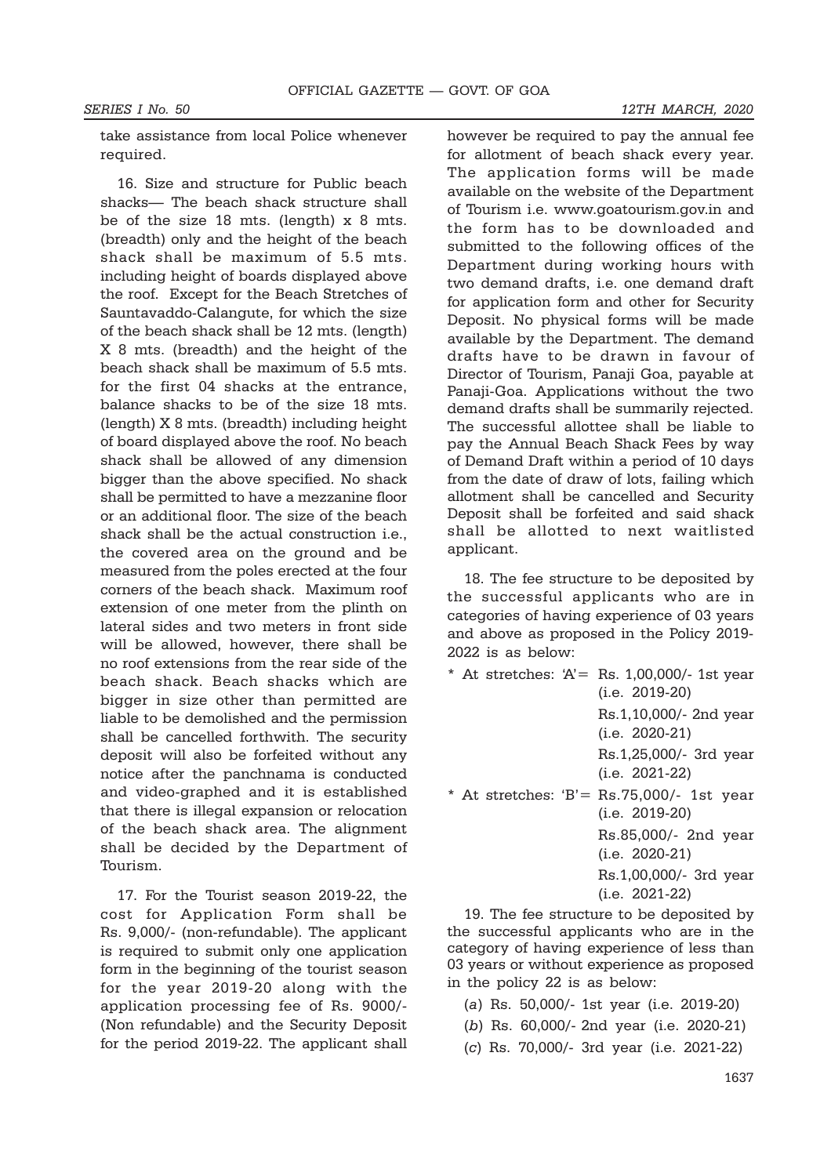take assistance from local Police whenever required.

16. Size and structure for Public beach shacks— The beach shack structure shall be of the size 18 mts. (length) x 8 mts. (breadth) only and the height of the beach shack shall be maximum of 5.5 mts. including height of boards displayed above the roof. Except for the Beach Stretches of Sauntavaddo-Calangute, for which the size of the beach shack shall be 12 mts. (length) X 8 mts. (breadth) and the height of the beach shack shall be maximum of 5.5 mts. for the first 04 shacks at the entrance, balance shacks to be of the size 18 mts. (length) X 8 mts. (breadth) including height of board displayed above the roof. No beach shack shall be allowed of any dimension bigger than the above specified. No shack shall be permitted to have a mezzanine floor or an additional floor. The size of the beach shack shall be the actual construction i.e., the covered area on the ground and be measured from the poles erected at the four corners of the beach shack. Maximum roof extension of one meter from the plinth on lateral sides and two meters in front side will be allowed, however, there shall be no roof extensions from the rear side of the beach shack. Beach shacks which are bigger in size other than permitted are liable to be demolished and the permission shall be cancelled forthwith. The security deposit will also be forfeited without any notice after the panchnama is conducted and video-graphed and it is established that there is illegal expansion or relocation of the beach shack area. The alignment shall be decided by the Department of Tourism.

17. For the Tourist season 2019-22, the cost for Application Form shall be Rs. 9,000/- (non-refundable). The applicant is required to submit only one application form in the beginning of the tourist season for the year 2019-20 along with the application processing fee of Rs. 9000/- (Non refundable) and the Security Deposit for the period 2019-22. The applicant shall

however be required to pay the annual fee for allotment of beach shack every year. The application forms will be made available on the website of the Department of Tourism i.e. www.goatourism.gov.in and the form has to be downloaded and submitted to the following offices of the Department during working hours with two demand drafts, i.e. one demand draft for application form and other for Security Deposit. No physical forms will be made available by the Department. The demand drafts have to be drawn in favour of Director of Tourism, Panaji Goa, payable at Panaji-Goa. Applications without the two demand drafts shall be summarily rejected. The successful allottee shall be liable to pay the Annual Beach Shack Fees by way of Demand Draft within a period of 10 days from the date of draw of lots, failing which allotment shall be cancelled and Security Deposit shall be forfeited and said shack shall be allotted to next waitlisted applicant.

18. The fee structure to be deposited by the successful applicants who are in categories of having experience of 03 years and above as proposed in the Policy 2019- 2022 is as below:

- \* At stretches: 'A'= Rs. 1,00,000/- 1st year (i.e. 2019-20) Rs.1,10,000/- 2nd year (i.e. 2020-21) Rs.1,25,000/- 3rd year (i.e. 2021-22)  $*$  At stretches: 'B'= Rs.75,000/- 1st year (i.e. 2019-20) Rs.85,000/- 2nd year (i.e. 2020-21)
	- Rs.1,00,000/- 3rd year (i.e. 2021-22)

19. The fee structure to be deposited by the successful applicants who are in the category of having experience of less than 03 years or without experience as proposed in the policy 22 is as below:

- (a) Rs. 50,000/- 1st year (i.e. 2019-20)
- (b) Rs. 60,000/- 2nd year (i.e. 2020-21)
- (c) Rs. 70,000/- 3rd year (i.e. 2021-22)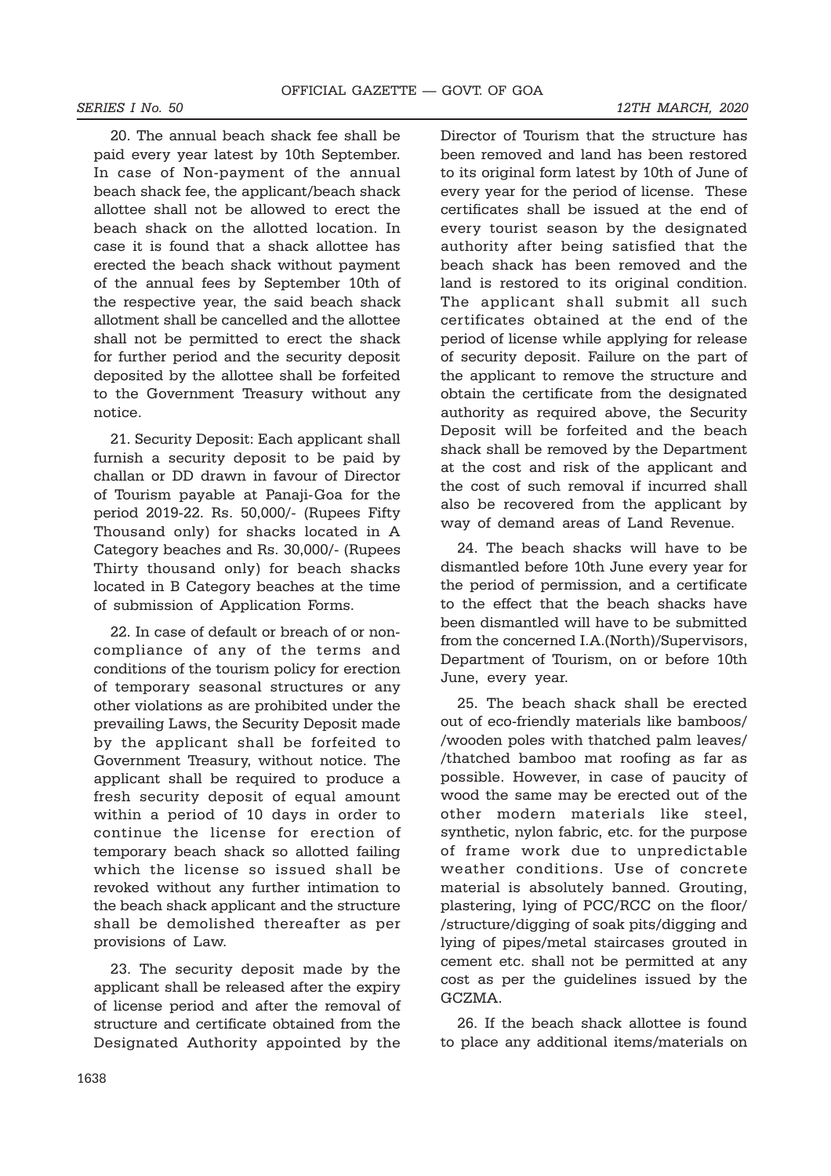20. The annual beach shack fee shall be paid every year latest by 10th September. In case of Non-payment of the annual beach shack fee, the applicant/beach shack allottee shall not be allowed to erect the beach shack on the allotted location. In case it is found that a shack allottee has erected the beach shack without payment of the annual fees by September 10th of the respective year, the said beach shack allotment shall be cancelled and the allottee shall not be permitted to erect the shack for further period and the security deposit deposited by the allottee shall be forfeited to the Government Treasury without any notice.

21. Security Deposit: Each applicant shall furnish a security deposit to be paid by challan or DD drawn in favour of Director of Tourism payable at Panaji-Goa for the period 2019-22. Rs. 50,000/- (Rupees Fifty Thousand only) for shacks located in A Category beaches and Rs. 30,000/- (Rupees Thirty thousand only) for beach shacks located in B Category beaches at the time of submission of Application Forms.

22. In case of default or breach of or noncompliance of any of the terms and conditions of the tourism policy for erection of temporary seasonal structures or any other violations as are prohibited under the prevailing Laws, the Security Deposit made by the applicant shall be forfeited to Government Treasury, without notice. The applicant shall be required to produce a fresh security deposit of equal amount within a period of 10 days in order to continue the license for erection of temporary beach shack so allotted failing which the license so issued shall be revoked without any further intimation to the beach shack applicant and the structure shall be demolished thereafter as per provisions of Law.

23. The security deposit made by the applicant shall be released after the expiry of license period and after the removal of structure and certificate obtained from the Designated Authority appointed by the

Director of Tourism that the structure has been removed and land has been restored to its original form latest by 10th of June of every year for the period of license. These certificates shall be issued at the end of every tourist season by the designated authority after being satisfied that the beach shack has been removed and the land is restored to its original condition. The applicant shall submit all such certificates obtained at the end of the period of license while applying for release of security deposit. Failure on the part of the applicant to remove the structure and obtain the certificate from the designated authority as required above, the Security Deposit will be forfeited and the beach shack shall be removed by the Department at the cost and risk of the applicant and the cost of such removal if incurred shall also be recovered from the applicant by way of demand areas of Land Revenue.

24. The beach shacks will have to be dismantled before 10th June every year for the period of permission, and a certificate to the effect that the beach shacks have been dismantled will have to be submitted from the concerned I.A.(North)/Supervisors, Department of Tourism, on or before 10th June, every year.

25. The beach shack shall be erected out of eco-friendly materials like bamboos/ /wooden poles with thatched palm leaves/ /thatched bamboo mat roofing as far as possible. However, in case of paucity of wood the same may be erected out of the other modern materials like steel, synthetic, nylon fabric, etc. for the purpose of frame work due to unpredictable weather conditions. Use of concrete material is absolutely banned. Grouting, plastering, lying of PCC/RCC on the floor/ /structure/digging of soak pits/digging and lying of pipes/metal staircases grouted in cement etc. shall not be permitted at any cost as per the guidelines issued by the GCZMA.

26. If the beach shack allottee is found to place any additional items/materials on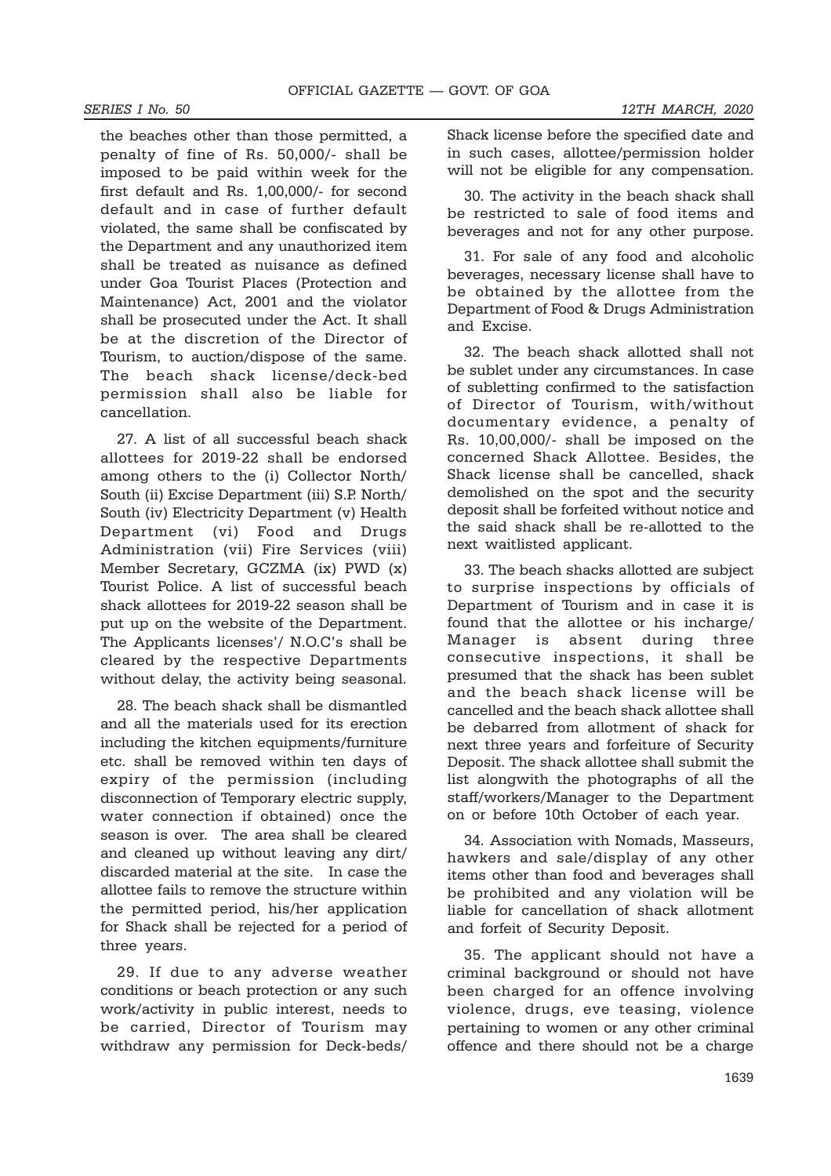### SERIES I No. 50 12TH MARCH, 2020

the beaches other than those permitted, a penalty of fine of Rs. 50,000/- shall be imposed to be paid within week for the first default and Rs. 1,00,000/- for second default and in case of further default violated, the same shall be confiscated by the Department and any unauthorized item shall be treated as nuisance as defined under Goa Tourist Places (Protection and Maintenance) Act, 2001 and the violator shall be prosecuted under the Act. It shall be at the discretion of the Director of Tourism, to auction/dispose of the same. The beach shack license/deck-bed permission shall also be liable for cancellation.

27. A list of all successful beach shack allottees for 2019-22 shall be endorsed among others to the (i) Collector North/ South (ii) Excise Department (iii) S.P. North/ South (iv) Electricity Department (v) Health Department (vi) Food and Drugs Administration (vii) Fire Services (viii) Member Secretary, GCZMA (ix) PWD (x) Tourist Police. A list of successful beach shack allottees for 2019-22 season shall be put up on the website of the Department. The Applicants licenses'/ N.O.C's shall be cleared by the respective Departments without delay, the activity being seasonal.

28. The beach shack shall be dismantled and all the materials used for its erection including the kitchen equipments/furniture etc. shall be removed within ten days of expiry of the permission (including disconnection of Temporary electric supply, water connection if obtained) once the season is over. The area shall be cleared and cleaned up without leaving any dirt/ discarded material at the site. In case the allottee fails to remove the structure within the permitted period, his/her application for Shack shall be rejected for a period of three years.

29. If due to any adverse weather conditions or beach protection or any such work/activity in public interest, needs to be carried, Director of Tourism may withdraw any permission for Deck-beds/

30. The activity in the beach shack shall be restricted to sale of food items and beverages and not for any other purpose.

31. For sale of any food and alcoholic beverages, necessary license shall have to be obtained by the allottee from the Department of Food & Drugs Administration and Excise.

32. The beach shack allotted shall not be sublet under any circumstances. In case of subletting confirmed to the satisfaction of Director of Tourism, with/without documentary evidence, a penalty of Rs. 10,00,000/- shall be imposed on the concerned Shack Allottee. Besides, the Shack license shall be cancelled, shack demolished on the spot and the security deposit shall be forfeited without notice and the said shack shall be re-allotted to the next waitlisted applicant.

33. The beach shacks allotted are subject to surprise inspections by officials of Department of Tourism and in case it is found that the allottee or his incharge/ Manager is absent during three consecutive inspections, it shall be presumed that the shack has been sublet and the beach shack license will be cancelled and the beach shack allottee shall be debarred from allotment of shack for next three years and forfeiture of Security Deposit. The shack allottee shall submit the list alongwith the photographs of all the staff/workers/Manager to the Department on or before 10th October of each year.

34. Association with Nomads, Masseurs, hawkers and sale/display of any other items other than food and beverages shall be prohibited and any violation will be liable for cancellation of shack allotment and forfeit of Security Deposit.

35. The applicant should not have a criminal background or should not have been charged for an offence involving violence, drugs, eve teasing, violence pertaining to women or any other criminal offence and there should not be a charge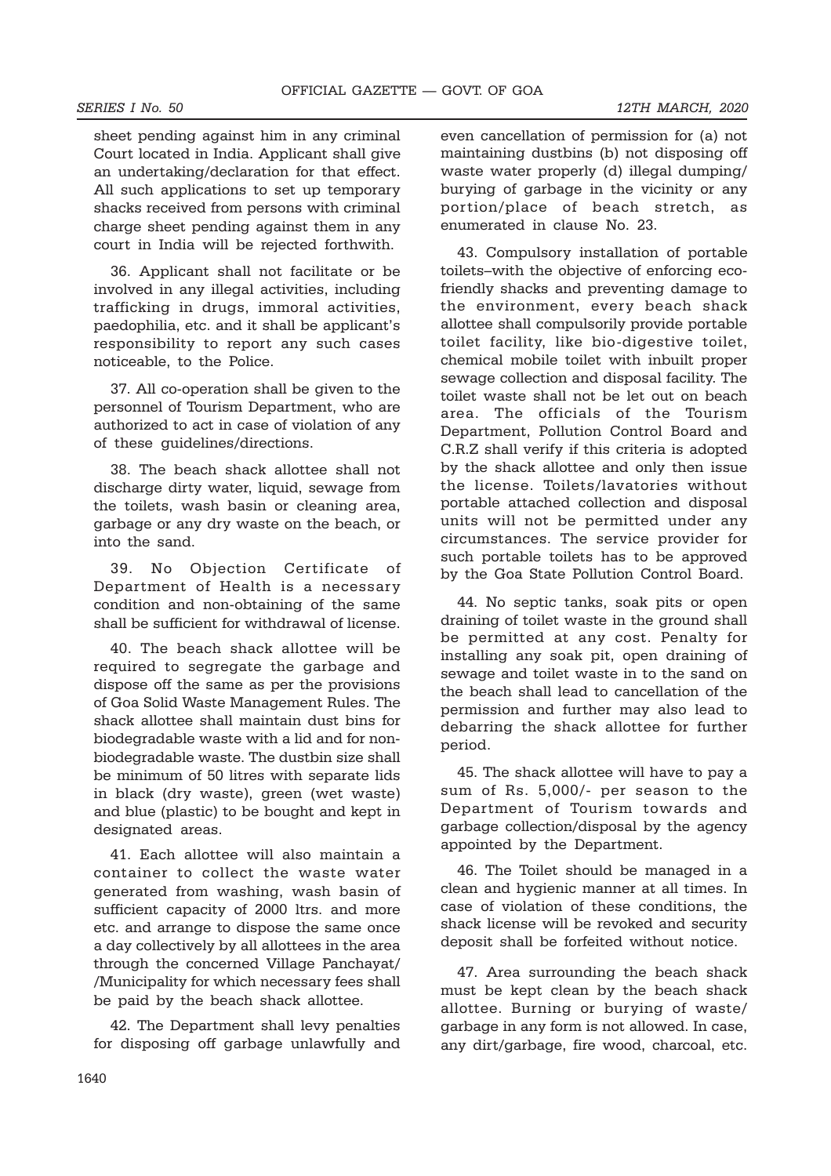sheet pending against him in any criminal Court located in India. Applicant shall give an undertaking/declaration for that effect. All such applications to set up temporary shacks received from persons with criminal charge sheet pending against them in any court in India will be rejected forthwith.

36. Applicant shall not facilitate or be involved in any illegal activities, including trafficking in drugs, immoral activities, paedophilia, etc. and it shall be applicant's responsibility to report any such cases noticeable, to the Police.

37. All co-operation shall be given to the personnel of Tourism Department, who are authorized to act in case of violation of any of these guidelines/directions.

38. The beach shack allottee shall not discharge dirty water, liquid, sewage from the toilets, wash basin or cleaning area, garbage or any dry waste on the beach, or into the sand.

39. No Objection Certificate of Department of Health is a necessary condition and non-obtaining of the same shall be sufficient for withdrawal of license.

40. The beach shack allottee will be required to segregate the garbage and dispose off the same as per the provisions of Goa Solid Waste Management Rules. The shack allottee shall maintain dust bins for biodegradable waste with a lid and for nonbiodegradable waste. The dustbin size shall be minimum of 50 litres with separate lids in black (dry waste), green (wet waste) and blue (plastic) to be bought and kept in designated areas.

41. Each allottee will also maintain a container to collect the waste water generated from washing, wash basin of sufficient capacity of 2000 ltrs. and more etc. and arrange to dispose the same once a day collectively by all allottees in the area through the concerned Village Panchayat/ /Municipality for which necessary fees shall be paid by the beach shack allottee.

42. The Department shall levy penalties for disposing off garbage unlawfully and even cancellation of permission for (a) not maintaining dustbins (b) not disposing off waste water properly (d) illegal dumping/ burying of garbage in the vicinity or any portion/place of beach stretch, as enumerated in clause No. 23.

43. Compulsory installation of portable toilets–with the objective of enforcing ecofriendly shacks and preventing damage to the environment, every beach shack allottee shall compulsorily provide portable toilet facility, like bio-digestive toilet, chemical mobile toilet with inbuilt proper sewage collection and disposal facility. The toilet waste shall not be let out on beach area. The officials of the Tourism Department, Pollution Control Board and C.R.Z shall verify if this criteria is adopted by the shack allottee and only then issue the license. Toilets/lavatories without portable attached collection and disposal units will not be permitted under any circumstances. The service provider for such portable toilets has to be approved by the Goa State Pollution Control Board.

44. No septic tanks, soak pits or open draining of toilet waste in the ground shall be permitted at any cost. Penalty for installing any soak pit, open draining of sewage and toilet waste in to the sand on the beach shall lead to cancellation of the permission and further may also lead to debarring the shack allottee for further period.

45. The shack allottee will have to pay a sum of Rs. 5,000/- per season to the Department of Tourism towards and garbage collection/disposal by the agency appointed by the Department.

46. The Toilet should be managed in a clean and hygienic manner at all times. In case of violation of these conditions, the shack license will be revoked and security deposit shall be forfeited without notice.

47. Area surrounding the beach shack must be kept clean by the beach shack allottee. Burning or burying of waste/ garbage in any form is not allowed. In case, any dirt/garbage, fire wood, charcoal, etc.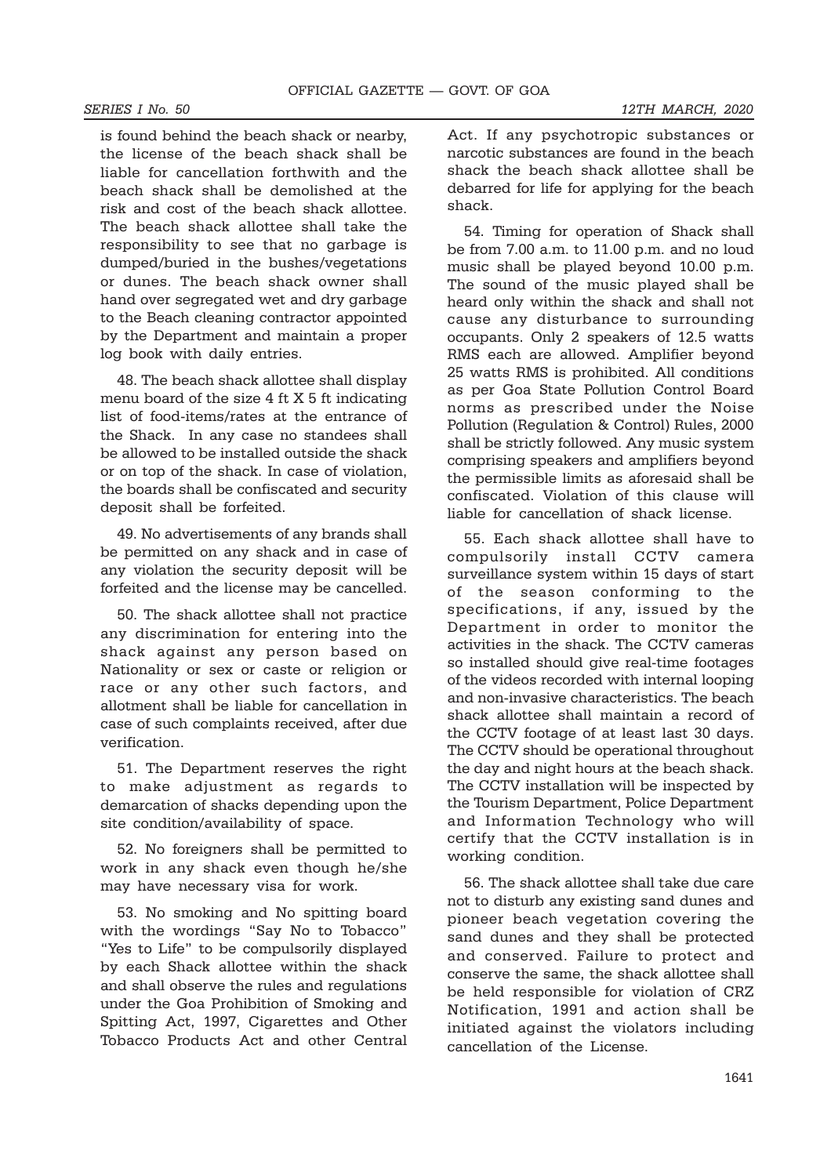is found behind the beach shack or nearby, the license of the beach shack shall be liable for cancellation forthwith and the beach shack shall be demolished at the risk and cost of the beach shack allottee. The beach shack allottee shall take the responsibility to see that no garbage is dumped/buried in the bushes/vegetations or dunes. The beach shack owner shall hand over segregated wet and dry garbage to the Beach cleaning contractor appointed by the Department and maintain a proper log book with daily entries.

48. The beach shack allottee shall display menu board of the size 4 ft X 5 ft indicating list of food-items/rates at the entrance of the Shack. In any case no standees shall be allowed to be installed outside the shack or on top of the shack. In case of violation, the boards shall be confiscated and security deposit shall be forfeited.

49. No advertisements of any brands shall be permitted on any shack and in case of any violation the security deposit will be forfeited and the license may be cancelled.

50. The shack allottee shall not practice any discrimination for entering into the shack against any person based on Nationality or sex or caste or religion or race or any other such factors, and allotment shall be liable for cancellation in case of such complaints received, after due verification.

51. The Department reserves the right to make adjustment as regards to demarcation of shacks depending upon the site condition/availability of space.

52. No foreigners shall be permitted to work in any shack even though he/she may have necessary visa for work.

53. No smoking and No spitting board with the wordings "Say No to Tobacco" "Yes to Life" to be compulsorily displayed by each Shack allottee within the shack and shall observe the rules and regulations under the Goa Prohibition of Smoking and Spitting Act, 1997, Cigarettes and Other Tobacco Products Act and other Central Act. If any psychotropic substances or narcotic substances are found in the beach shack the beach shack allottee shall be debarred for life for applying for the beach shack.

54. Timing for operation of Shack shall be from 7.00 a.m. to 11.00 p.m. and no loud music shall be played beyond 10.00 p.m. The sound of the music played shall be heard only within the shack and shall not cause any disturbance to surrounding occupants. Only 2 speakers of 12.5 watts RMS each are allowed. Amplifier beyond 25 watts RMS is prohibited. All conditions as per Goa State Pollution Control Board norms as prescribed under the Noise Pollution (Regulation & Control) Rules, 2000 shall be strictly followed. Any music system comprising speakers and amplifiers beyond the permissible limits as aforesaid shall be confiscated. Violation of this clause will liable for cancellation of shack license.

55. Each shack allottee shall have to compulsorily install CCTV camera surveillance system within 15 days of start of the season conforming to the specifications, if any, issued by the Department in order to monitor the activities in the shack. The CCTV cameras so installed should give real-time footages of the videos recorded with internal looping and non-invasive characteristics. The beach shack allottee shall maintain a record of the CCTV footage of at least last 30 days. The CCTV should be operational throughout the day and night hours at the beach shack. The CCTV installation will be inspected by the Tourism Department, Police Department and Information Technology who will certify that the CCTV installation is in working condition.

56. The shack allottee shall take due care not to disturb any existing sand dunes and pioneer beach vegetation covering the sand dunes and they shall be protected and conserved. Failure to protect and conserve the same, the shack allottee shall be held responsible for violation of CRZ Notification, 1991 and action shall be initiated against the violators including cancellation of the License.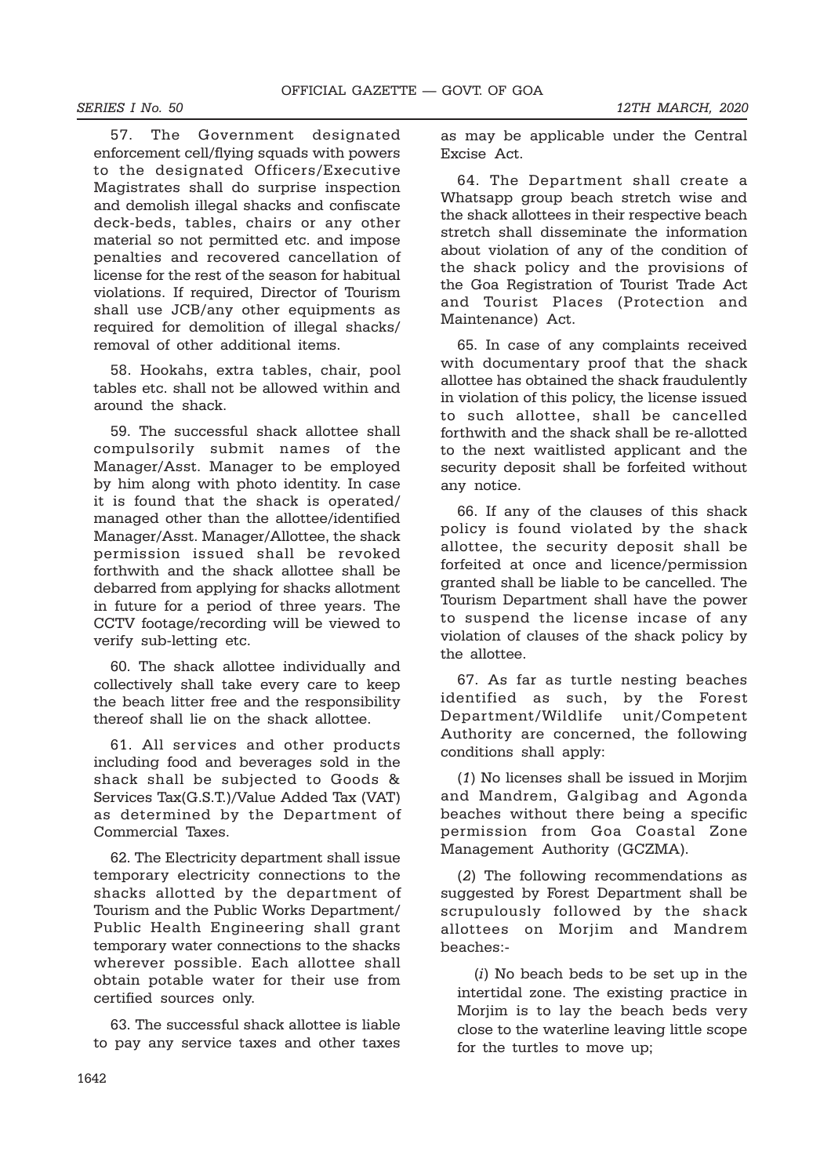57. The Government designated enforcement cell/flying squads with powers to the designated Officers/Executive Magistrates shall do surprise inspection and demolish illegal shacks and confiscate deck-beds, tables, chairs or any other material so not permitted etc. and impose penalties and recovered cancellation of license for the rest of the season for habitual violations. If required, Director of Tourism shall use JCB/any other equipments as required for demolition of illegal shacks/ removal of other additional items.

58. Hookahs, extra tables, chair, pool tables etc. shall not be allowed within and around the shack.

59. The successful shack allottee shall compulsorily submit names of the Manager/Asst. Manager to be employed by him along with photo identity. In case it is found that the shack is operated/ managed other than the allottee/identified Manager/Asst. Manager/Allottee, the shack permission issued shall be revoked forthwith and the shack allottee shall be debarred from applying for shacks allotment in future for a period of three years. The CCTV footage/recording will be viewed to verify sub-letting etc.

60. The shack allottee individually and collectively shall take every care to keep the beach litter free and the responsibility thereof shall lie on the shack allottee.

61. All services and other products including food and beverages sold in the shack shall be subjected to Goods & Services Tax(G.S.T.)/Value Added Tax (VAT) as determined by the Department of Commercial Taxes.

62. The Electricity department shall issue temporary electricity connections to the shacks allotted by the department of Tourism and the Public Works Department/ Public Health Engineering shall grant temporary water connections to the shacks wherever possible. Each allottee shall obtain potable water for their use from certified sources only.

63. The successful shack allottee is liable to pay any service taxes and other taxes as may be applicable under the Central Excise Act.

64. The Department shall create a Whatsapp group beach stretch wise and the shack allottees in their respective beach stretch shall disseminate the information about violation of any of the condition of the shack policy and the provisions of the Goa Registration of Tourist Trade Act and Tourist Places (Protection and Maintenance) Act.

65. In case of any complaints received with documentary proof that the shack allottee has obtained the shack fraudulently in violation of this policy, the license issued to such allottee, shall be cancelled forthwith and the shack shall be re-allotted to the next waitlisted applicant and the security deposit shall be forfeited without any notice.

66. If any of the clauses of this shack policy is found violated by the shack allottee, the security deposit shall be forfeited at once and licence/permission granted shall be liable to be cancelled. The Tourism Department shall have the power to suspend the license incase of any violation of clauses of the shack policy by the allottee.

67. As far as turtle nesting beaches identified as such, by the Forest Department/Wildlife unit/Competent Authority are concerned, the following conditions shall apply:

(1) No licenses shall be issued in Morjim and Mandrem, Galgibag and Agonda beaches without there being a specific permission from Goa Coastal Zone Management Authority (GCZMA).

(2) The following recommendations as suggested by Forest Department shall be scrupulously followed by the shack allottees on Morjim and Mandrem beaches:-

(i) No beach beds to be set up in the intertidal zone. The existing practice in Morjim is to lay the beach beds very close to the waterline leaving little scope for the turtles to move up;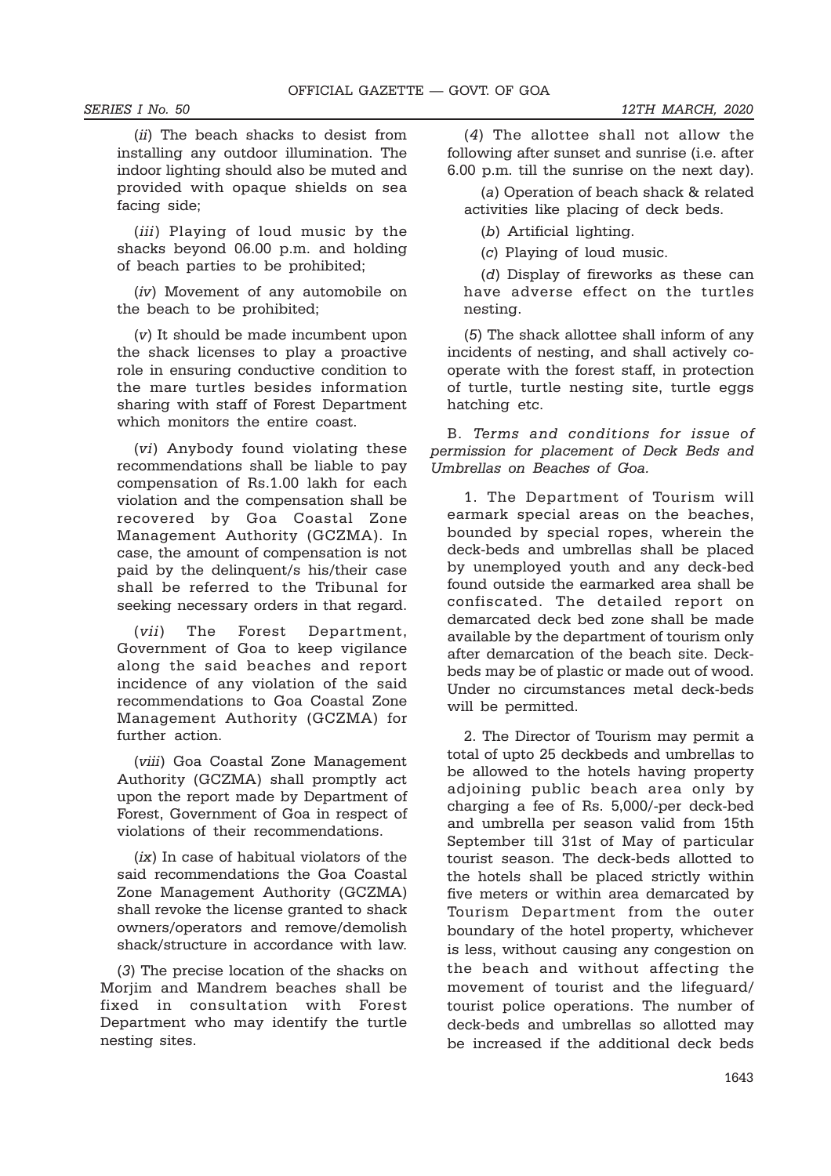(ii) The beach shacks to desist from installing any outdoor illumination. The indoor lighting should also be muted and provided with opaque shields on sea facing side;

(*iii*) Playing of loud music by the shacks beyond 06.00 p.m. and holding of beach parties to be prohibited;

(iv) Movement of any automobile on the beach to be prohibited;

(v) It should be made incumbent upon the shack licenses to play a proactive role in ensuring conductive condition to the mare turtles besides information sharing with staff of Forest Department which monitors the entire coast.

(vi) Anybody found violating these recommendations shall be liable to pay compensation of Rs.1.00 lakh for each violation and the compensation shall be recovered by Goa Coastal Zone Management Authority (GCZMA). In case, the amount of compensation is not paid by the delinquent/s his/their case shall be referred to the Tribunal for seeking necessary orders in that regard.

(vii) The Forest Department, Government of Goa to keep vigilance along the said beaches and report incidence of any violation of the said recommendations to Goa Coastal Zone Management Authority (GCZMA) for further action.

(viii) Goa Coastal Zone Management Authority (GCZMA) shall promptly act upon the report made by Department of Forest, Government of Goa in respect of violations of their recommendations.

(ix) In case of habitual violators of the said recommendations the Goa Coastal Zone Management Authority (GCZMA) shall revoke the license granted to shack owners/operators and remove/demolish shack/structure in accordance with law.

(3) The precise location of the shacks on Moriim and Mandrem beaches shall be fixed in consultation with Forest Department who may identify the turtle nesting sites.

(4) The allottee shall not allow the following after sunset and sunrise (i.e. after 6.00 p.m. till the sunrise on the next day).

(a) Operation of beach shack & related activities like placing of deck beds.

(b) Artificial lighting.

(c) Playing of loud music.

(d) Display of fireworks as these can have adverse effect on the turtles nesting.

(5) The shack allottee shall inform of any incidents of nesting, and shall actively cooperate with the forest staff, in protection of turtle, turtle nesting site, turtle eggs hatching etc.

B. Terms and conditions for issue of permission for placement of Deck Beds and Umbrellas on Beaches of Goa.

1. The Department of Tourism will earmark special areas on the beaches, bounded by special ropes, wherein the deck-beds and umbrellas shall be placed by unemployed youth and any deck-bed found outside the earmarked area shall be confiscated. The detailed report on demarcated deck bed zone shall be made available by the department of tourism only after demarcation of the beach site. Deckbeds may be of plastic or made out of wood. Under no circumstances metal deck-beds will be permitted.

2. The Director of Tourism may permit a total of upto 25 deckbeds and umbrellas to be allowed to the hotels having property adjoining public beach area only by charging a fee of Rs. 5,000/-per deck-bed and umbrella per season valid from 15th September till 31st of May of particular tourist season. The deck-beds allotted to the hotels shall be placed strictly within five meters or within area demarcated by Tourism Department from the outer boundary of the hotel property, whichever is less, without causing any congestion on the beach and without affecting the movement of tourist and the lifeguard/ tourist police operations. The number of deck-beds and umbrellas so allotted may be increased if the additional deck beds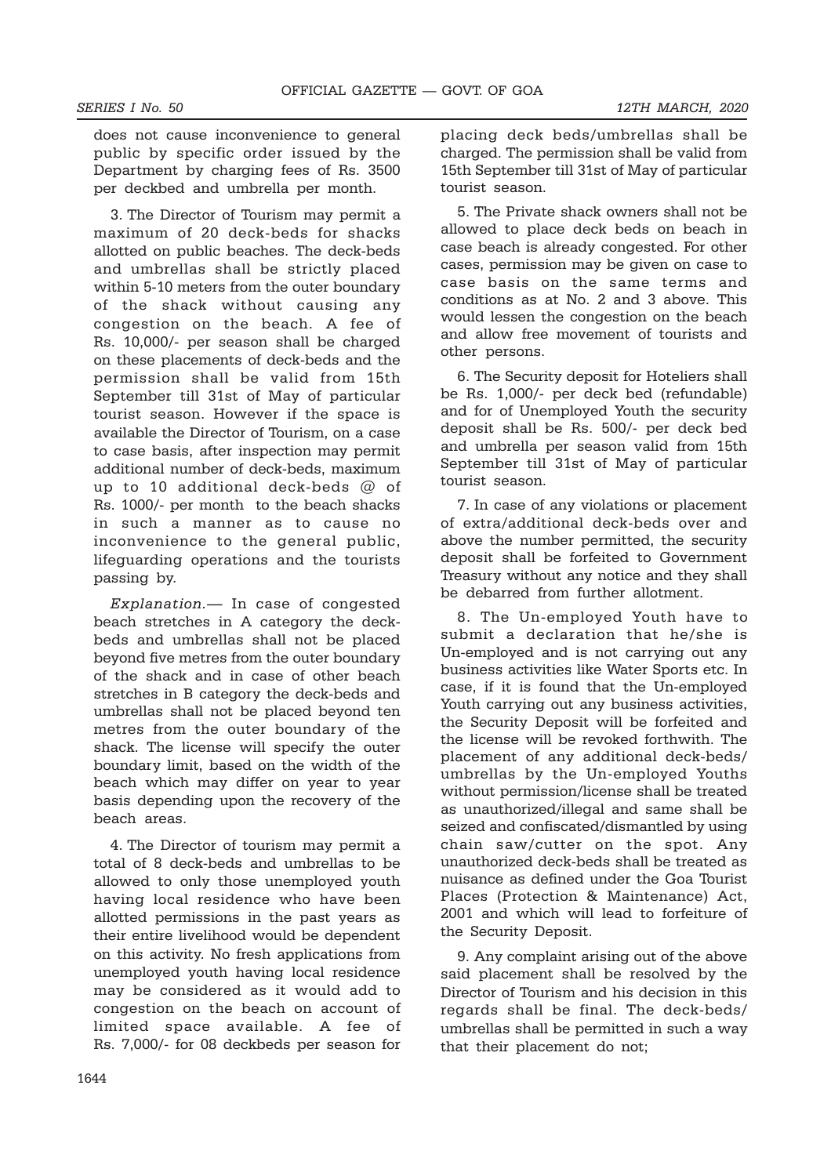does not cause inconvenience to general public by specific order issued by the Department by charging fees of Rs. 3500 per deckbed and umbrella per month.

3. The Director of Tourism may permit a maximum of 20 deck-beds for shacks allotted on public beaches. The deck-beds and umbrellas shall be strictly placed within 5-10 meters from the outer boundary of the shack without causing any congestion on the beach. A fee of Rs. 10,000/- per season shall be charged on these placements of deck-beds and the permission shall be valid from 15th September till 31st of May of particular tourist season. However if the space is available the Director of Tourism, on a case to case basis, after inspection may permit additional number of deck-beds, maximum up to 10 additional deck-beds @ of Rs. 1000/- per month to the beach shacks in such a manner as to cause no inconvenience to the general public, lifeguarding operations and the tourists passing by.

Explanation.— In case of congested beach stretches in A category the deckbeds and umbrellas shall not be placed beyond five metres from the outer boundary of the shack and in case of other beach stretches in B category the deck-beds and umbrellas shall not be placed beyond ten metres from the outer boundary of the shack. The license will specify the outer boundary limit, based on the width of the beach which may differ on year to year basis depending upon the recovery of the beach areas.

4. The Director of tourism may permit a total of 8 deck-beds and umbrellas to be allowed to only those unemployed youth having local residence who have been allotted permissions in the past years as their entire livelihood would be dependent on this activity. No fresh applications from unemployed youth having local residence may be considered as it would add to congestion on the beach on account of limited space available. A fee of Rs. 7,000/- for 08 deckbeds per season for

placing deck beds/umbrellas shall be charged. The permission shall be valid from 15th September till 31st of May of particular tourist season.

5. The Private shack owners shall not be allowed to place deck beds on beach in case beach is already congested. For other cases, permission may be given on case to case basis on the same terms and conditions as at No. 2 and 3 above. This would lessen the congestion on the beach and allow free movement of tourists and other persons.

6. The Security deposit for Hoteliers shall be Rs. 1,000/- per deck bed (refundable) and for of Unemployed Youth the security deposit shall be Rs. 500/- per deck bed and umbrella per season valid from 15th September till 31st of May of particular tourist season.

7. In case of any violations or placement of extra/additional deck-beds over and above the number permitted, the security deposit shall be forfeited to Government Treasury without any notice and they shall be debarred from further allotment.

8. The Un-employed Youth have to submit a declaration that he/she is Un-employed and is not carrying out any business activities like Water Sports etc. In case, if it is found that the Un-employed Youth carrying out any business activities, the Security Deposit will be forfeited and the license will be revoked forthwith. The placement of any additional deck-beds/ umbrellas by the Un-employed Youths without permission/license shall be treated as unauthorized/illegal and same shall be seized and confiscated/dismantled by using chain saw/cutter on the spot. Any unauthorized deck-beds shall be treated as nuisance as defined under the Goa Tourist Places (Protection & Maintenance) Act, 2001 and which will lead to forfeiture of the Security Deposit.

9. Any complaint arising out of the above said placement shall be resolved by the Director of Tourism and his decision in this regards shall be final. The deck-beds/ umbrellas shall be permitted in such a way that their placement do not;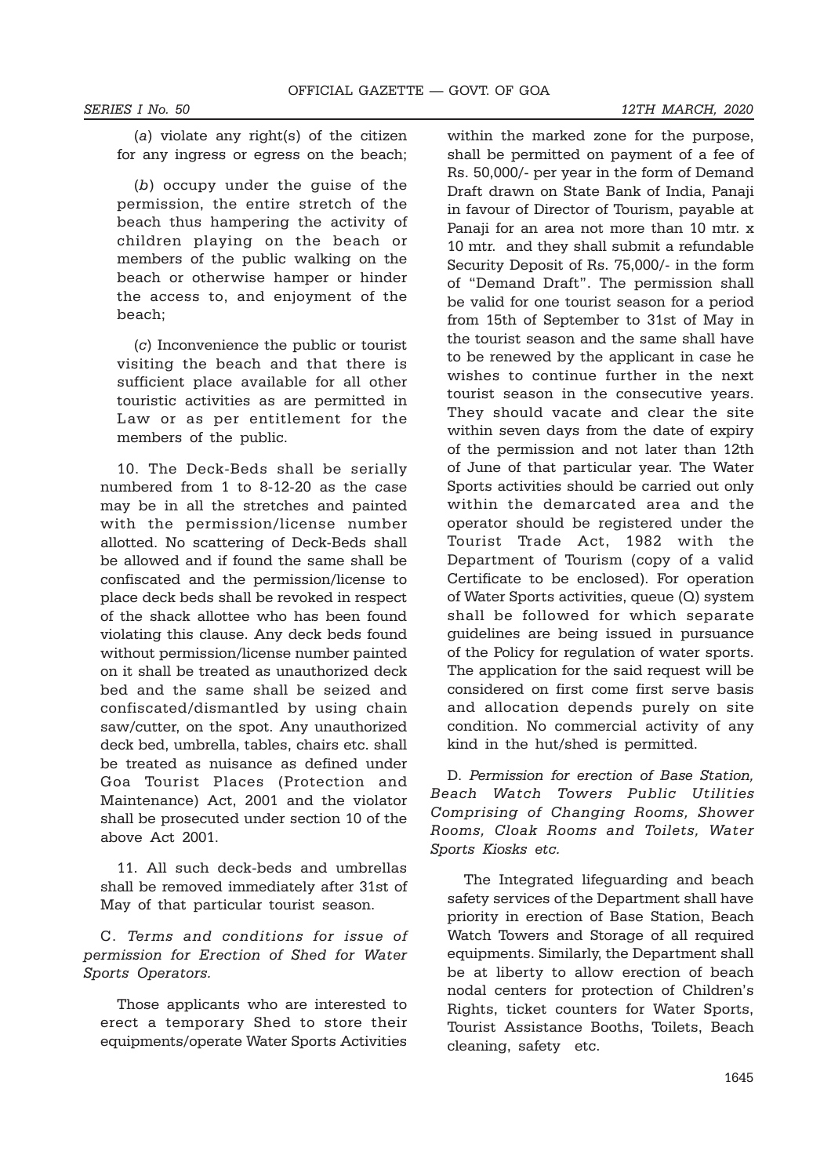(a) violate any right(s) of the citizen for any ingress or egress on the beach;

(b) occupy under the guise of the permission, the entire stretch of the beach thus hampering the activity of children playing on the beach or members of the public walking on the beach or otherwise hamper or hinder the access to, and enjoyment of the beach;

(c) Inconvenience the public or tourist visiting the beach and that there is sufficient place available for all other touristic activities as are permitted in Law or as per entitlement for the members of the public.

10. The Deck-Beds shall be serially numbered from 1 to 8-12-20 as the case may be in all the stretches and painted with the permission/license number allotted. No scattering of Deck-Beds shall be allowed and if found the same shall be confiscated and the permission/license to place deck beds shall be revoked in respect of the shack allottee who has been found violating this clause. Any deck beds found without permission/license number painted on it shall be treated as unauthorized deck bed and the same shall be seized and confiscated/dismantled by using chain saw/cutter, on the spot. Any unauthorized deck bed, umbrella, tables, chairs etc. shall be treated as nuisance as defined under Goa Tourist Places (Protection and Maintenance) Act, 2001 and the violator shall be prosecuted under section 10 of the above Act 2001.

11. All such deck-beds and umbrellas shall be removed immediately after 31st of May of that particular tourist season.

C. Terms and conditions for issue of permission for Erection of Shed for Water Sports Operators.

Those applicants who are interested to erect a temporary Shed to store their equipments/operate Water Sports Activities

within the marked zone for the purpose, shall be permitted on payment of a fee of Rs. 50,000/- per year in the form of Demand Draft drawn on State Bank of India, Panaji in favour of Director of Tourism, payable at Panaji for an area not more than 10 mtr. x 10 mtr. and they shall submit a refundable Security Deposit of Rs. 75,000/- in the form of "Demand Draft". The permission shall be valid for one tourist season for a period from 15th of September to 31st of May in the tourist season and the same shall have to be renewed by the applicant in case he wishes to continue further in the next tourist season in the consecutive years. They should vacate and clear the site within seven days from the date of expiry of the permission and not later than 12th of June of that particular year. The Water Sports activities should be carried out only within the demarcated area and the operator should be registered under the Tourist Trade Act, 1982 with the Department of Tourism (copy of a valid Certificate to be enclosed). For operation of Water Sports activities, queue (Q) system shall be followed for which separate guidelines are being issued in pursuance of the Policy for regulation of water sports. The application for the said request will be considered on first come first serve basis and allocation depends purely on site condition. No commercial activity of any kind in the hut/shed is permitted.

D. Permission for erection of Base Station. Beach Watch Towers Public Utilities Comprising of Changing Rooms, Shower Rooms, Cloak Rooms and Toilets, Water Sports Kiosks etc.

The Integrated lifeguarding and beach safety services of the Department shall have priority in erection of Base Station, Beach Watch Towers and Storage of all required equipments. Similarly, the Department shall be at liberty to allow erection of beach nodal centers for protection of Children's Rights, ticket counters for Water Sports, Tourist Assistance Booths, Toilets, Beach cleaning, safety etc.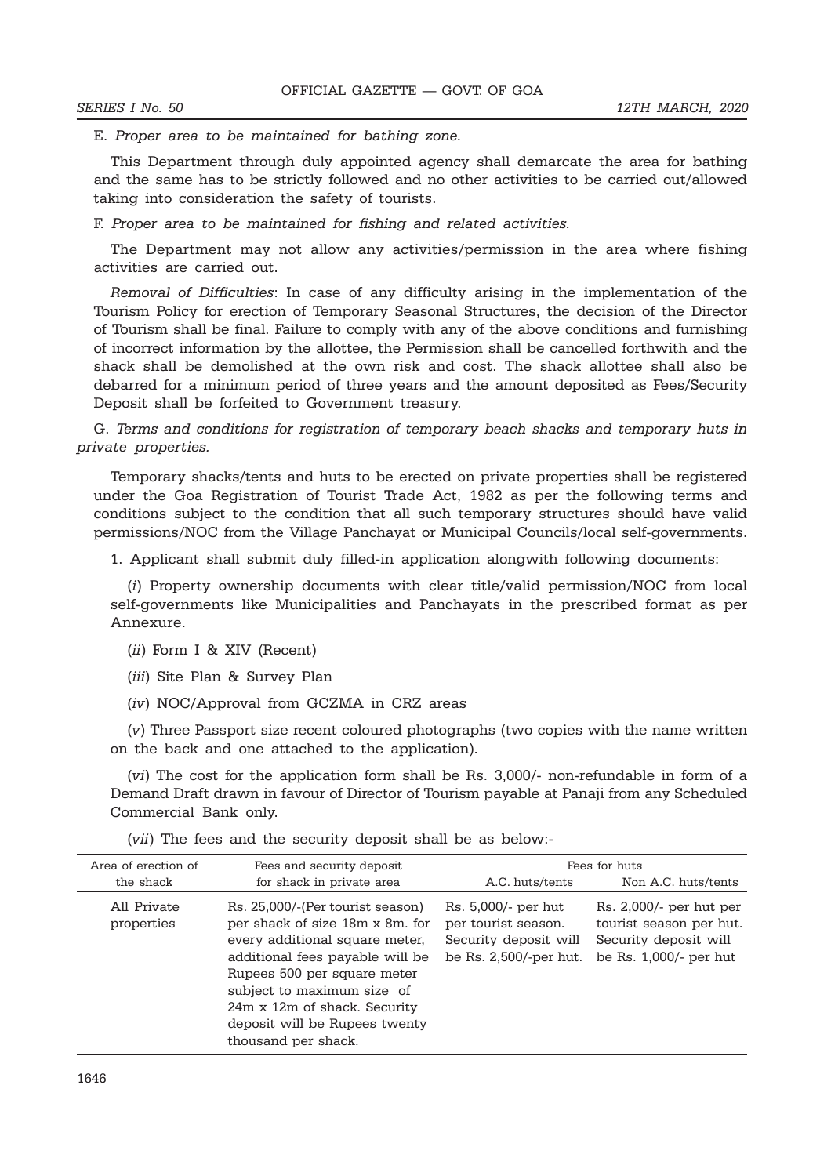E. Proper area to be maintained for bathing zone.

This Department through duly appointed agency shall demarcate the area for bathing and the same has to be strictly followed and no other activities to be carried out/allowed taking into consideration the safety of tourists.

F. Proper area to be maintained for fishing and related activities.

The Department may not allow any activities/permission in the area where fishing activities are carried out.

Removal of Difficulties: In case of any difficulty arising in the implementation of the Tourism Policy for erection of Temporary Seasonal Structures, the decision of the Director of Tourism shall be final. Failure to comply with any of the above conditions and furnishing of incorrect information by the allottee, the Permission shall be cancelled forthwith and the shack shall be demolished at the own risk and cost. The shack allottee shall also be debarred for a minimum period of three years and the amount deposited as Fees/Security Deposit shall be forfeited to Government treasury.

G. Terms and conditions for registration of temporary beach shacks and temporary huts in private properties.

Temporary shacks/tents and huts to be erected on private properties shall be registered under the Goa Registration of Tourist Trade Act, 1982 as per the following terms and conditions subject to the condition that all such temporary structures should have valid permissions/NOC from the Village Panchayat or Municipal Councils/local self-governments.

1. Applicant shall submit duly filled-in application alongwith following documents:

(i) Property ownership documents with clear title/valid permission/NOC from local self-governments like Municipalities and Panchayats in the prescribed format as per Annexure.

- (ii) Form I & XIV (Recent)
- (iii) Site Plan & Survey Plan
- (iv) NOC/Approval from GCZMA in CRZ areas

(v) Three Passport size recent coloured photographs (two copies with the name written on the back and one attached to the application).

(vi) The cost for the application form shall be Rs. 3,000/- non-refundable in form of a Demand Draft drawn in favour of Director of Tourism payable at Panaji from any Scheduled Commercial Bank only.

| Area of erection of       | Fees and security deposit                                                                                                                                                                                                                                                                     | Fees for huts                                                                                 |                                                                                                       |  |  |
|---------------------------|-----------------------------------------------------------------------------------------------------------------------------------------------------------------------------------------------------------------------------------------------------------------------------------------------|-----------------------------------------------------------------------------------------------|-------------------------------------------------------------------------------------------------------|--|--|
| the shack                 | for shack in private area                                                                                                                                                                                                                                                                     | A.C. huts/tents                                                                               | Non A.C. huts/tents                                                                                   |  |  |
| All Private<br>properties | Rs. 25,000/-(Per tourist season)<br>per shack of size 18m x 8m, for<br>every additional square meter,<br>additional fees payable will be<br>Rupees 500 per square meter<br>subject to maximum size of<br>24m x 12m of shack. Security<br>deposit will be Rupees twenty<br>thousand per shack. | Rs. 5,000/- per hut<br>per tourist season.<br>Security deposit will<br>be Rs. 2,500/-per hut. | Rs. 2,000/- per hut per<br>tourist season per hut.<br>Security deposit will<br>be Rs. 1,000/- per hut |  |  |

(vii) The fees and the security deposit shall be as below:-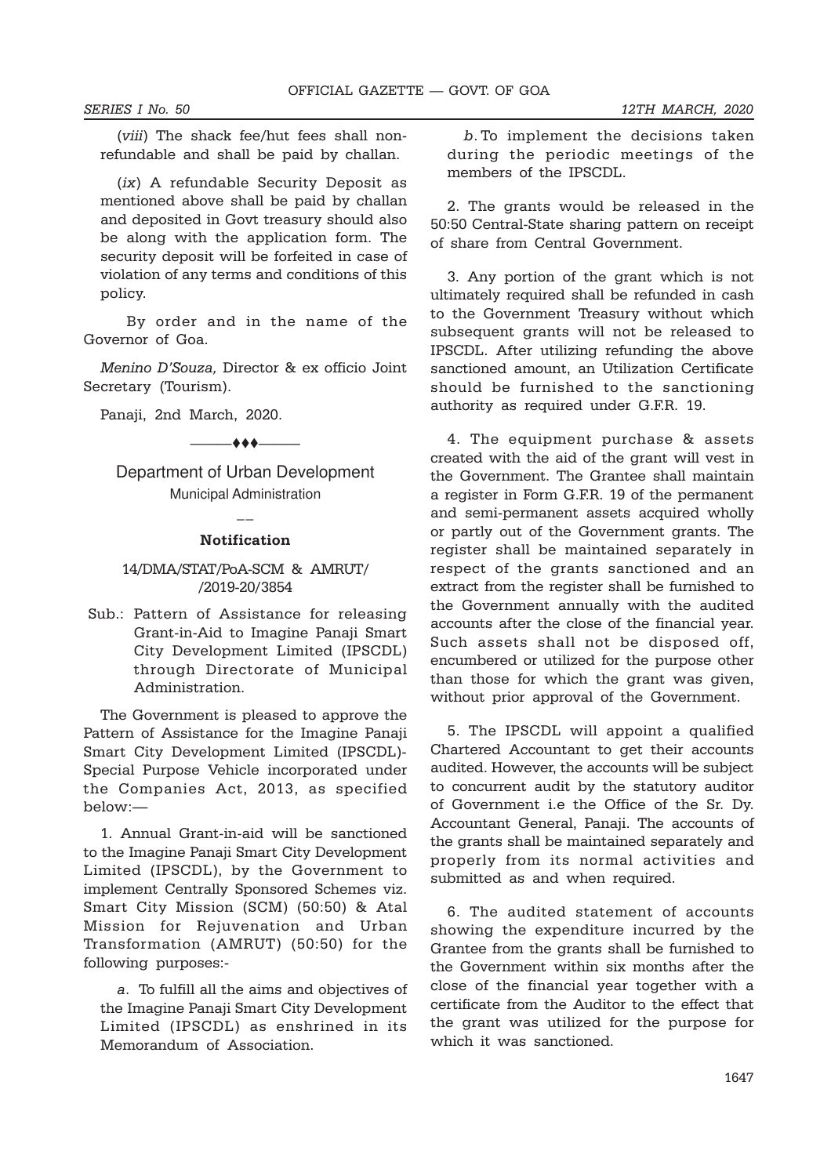(viii) The shack fee/hut fees shall nonrefundable and shall be paid by challan.

(ix) A refundable Security Deposit as mentioned above shall be paid by challan and deposited in Govt treasury should also be along with the application form. The security deposit will be forfeited in case of violation of any terms and conditions of this policy.

 By order and in the name of the Governor of Goa.

Menino D'Souza, Director & ex officio Joint Secretary (Tourism).

Panaji, 2nd March, 2020.

 $+ +$ 

Department of Urban Development Municipal Administration

# $\overline{a}$ Notification

# 14/DMA/STAT/PoA-SCM & AMRUT/ /2019-20/3854

Sub.: Pattern of Assistance for releasing Grant-in-Aid to Imagine Panaji Smart City Development Limited (IPSCDL) through Directorate of Municipal Administration.

The Government is pleased to approve the Pattern of Assistance for the Imagine Panaji Smart City Development Limited (IPSCDL)- Special Purpose Vehicle incorporated under the Companies Act, 2013, as specified below:—

1. Annual Grant-in-aid will be sanctioned to the Imagine Panaji Smart City Development Limited (IPSCDL), by the Government to implement Centrally Sponsored Schemes viz. Smart City Mission (SCM) (50:50) & Atal Mission for Rejuvenation and Urban Transformation (AMRUT) (50:50) for the following purposes:-

a. To fulfill all the aims and objectives of the Imagine Panaji Smart City Development Limited (IPSCDL) as enshrined in its Memorandum of Association.

b. To implement the decisions taken during the periodic meetings of the members of the IPSCDL.

2. The grants would be released in the 50:50 Central-State sharing pattern on receipt of share from Central Government.

3. Any portion of the grant which is not ultimately required shall be refunded in cash to the Government Treasury without which subsequent grants will not be released to IPSCDL. After utilizing refunding the above sanctioned amount, an Utilization Certificate should be furnished to the sanctioning authority as required under G.F.R. 19.

4. The equipment purchase & assets created with the aid of the grant will vest in the Government. The Grantee shall maintain a register in Form G.F.R. 19 of the permanent and semi-permanent assets acquired wholly or partly out of the Government grants. The register shall be maintained separately in respect of the grants sanctioned and an extract from the register shall be furnished to the Government annually with the audited accounts after the close of the financial year. Such assets shall not be disposed off, encumbered or utilized for the purpose other than those for which the grant was given, without prior approval of the Government.

5. The IPSCDL will appoint a qualified Chartered Accountant to get their accounts audited. However, the accounts will be subject to concurrent audit by the statutory auditor of Government i.e the Office of the Sr. Dy. Accountant General, Panaji. The accounts of the grants shall be maintained separately and properly from its normal activities and submitted as and when required.

6. The audited statement of accounts showing the expenditure incurred by the Grantee from the grants shall be furnished to the Government within six months after the close of the financial year together with a certificate from the Auditor to the effect that the grant was utilized for the purpose for which it was sanctioned.